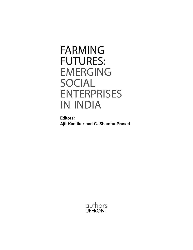# FARMING FUTURES: EMERGING SOCIAL ENTERPRISES IN INDIA

**Editors: Ajit Kanitkar and C. Shambu Prasad**

> authors UPFRONT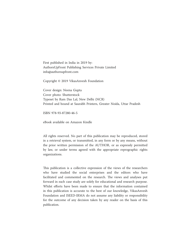First published in India in 2019 by: AuthorsUpFront Publishing Services Private Limited info@authorsupfront.com

Copyright © 2019 VikasAnvesh Foundation

Cover design: Neena Gupta Cover photo: Shutterstock Typeset by Ram Das Lal, New Delhi (NCR) Printed and bound at Saurabh Printers, Greater Noida, Uttar Pradesh

ISBN 978-93-87280-46-5

eBook available on Amazon Kindle

All rights reserved. No part of this publication may be reproduced, stored in a retrieval system, or transmitted, in any form or by any means, without the prior written permission of the AUTHOR, or as expressly permitted by law, or under terms agreed with the appropriate reprographic rights organizations.

This publication is a collective expression of the views of the researchers who have studied the social enterprises and the editors who have facilitated and commented on the research. The views and analyses put forward in each case study are solely for educational and research purpose. Whilst efforts have been made to ensure that the information contained in this publication is accurate to the best of our knowledge, VikasAnvesh Foundation and ISEED-IRMA do not assume any liability or responsibility for the outcome of any decision taken by any reader on the basis of this publication.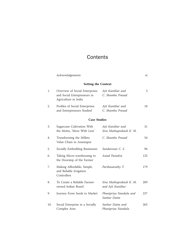## **Contents**

|     | Acknowledgements                                                                      |                                              | хi  |
|-----|---------------------------------------------------------------------------------------|----------------------------------------------|-----|
|     | <b>Setting the Context</b>                                                            |                                              |     |
| 1.  | Overview of Social Enterprises<br>and Social Entrepreneurs in<br>Agriculture in India | Ajit Kanitkar and<br>C. Shambu Prasad        | 3   |
| 2.  | Profiles of Social Enterprises<br>and Entrepreneurs Studied                           | Ajit Kanitkar and<br>C. Shambu Prasad        | 18  |
|     | <b>Case Studies</b>                                                                   |                                              |     |
| 3.  | Sugarcane Cultivation With<br>the Motto, 'More With Less'                             | Ajit Kanitkar and<br>Siva Muthuprakash K. M. | 31  |
| 4.  | Transforming the Millets<br>Value Chain in Anantapur                                  | C. Shambu Prasad                             | 54  |
| 5.  | Socially Embedding Businesses                                                         | Sundaresan C. S.                             | 96  |
| 6.  | Taking Micro-warehousing to<br>the Doorstep of the Farmer                             | Astad Pastakia                               | 125 |
| 7.  | Making Affordable, Simple,<br>and Reliable Irrigation<br>Controllers                  | Parthasarathy T.                             | 179 |
| 8.  | To Create a Reliable Farmer-<br>owned Indian Brand                                    | Siva Muthuprakash K. M.<br>and Ajit Kanitkar | 209 |
| 9.  | Journey From Seeds to Market                                                          | Phanipriya Nandula and<br>Sankar Datta       | 237 |
| 10. | Social Enterprise in a Socially<br>Complex Area                                       | Sankar Datta and<br>Phanipriya Nandula       | 265 |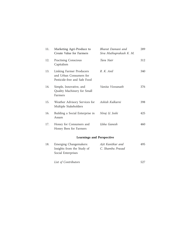| 11. | Marketing Agri-Produce to<br>Create Value for Farmers                               | Bharat Damani and<br>Siva Muthuprakash K. M. | 289 |
|-----|-------------------------------------------------------------------------------------|----------------------------------------------|-----|
| 12. | <b>Practising Conscious</b><br>Capitalism                                           | Tara Nair                                    | 312 |
| 13. | Linking Farmer Producers<br>and Urban Consumers for<br>Pesticide-free and Safe Food | R. K. Anil                                   | 340 |
| 14. | Simple, Innovative, and<br>Quality Machinery for Small<br>Farmers                   | Vanita Viswanath                             | 376 |
| 15. | Weather Advisory Services for<br>Multiple Stakeholders                              | Ashish Kulkarni                              | 398 |
| 16. | Building a Social Enterprise in<br>Assam                                            | Niraj U. Joshi                               | 425 |
| 17. | Honey for Consumers and<br>Honey Bees for Farmers                                   | Usha Ganesh                                  | 460 |
|     | <b>Learnings and Perspective</b>                                                    |                                              |     |
| 18. | Emerging Changemakers:<br>Insights from the Study of<br>Social Enterprises          | Ajit Kanitkar and<br>C. Shambu Prasad        | 495 |

*List of Contributors* 527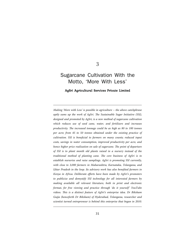### 3

## Sugarcane Cultivation With the<br>Motto. 'More With Less' Motto, 'More With Less'

#### AgSri Agricultural Services Private Limited

*Making 'More with Less' is possible in agriculture – the above catchphrase aptly sums up the work of AgSri. The Sustainable Sugar Initiative (SSI), designed and promoted by AgSri, is a new method of sugarcane cultivation which reduces use of seed cane, water, and fertilizers and increases productivity. The increased tonnage could be as high as 80 to 100 tonnes per acre; from 45 to 50 tonnes obtained under the existing practice of cultivation. SSI is beneficial to farmers on many counts; reduced input costs, savings in water consumption, improved productivity per acre, and hence higher price realization on sale of sugarcane. The point of departure of SSI is to plant month old plants raised in a nursery instead of the traditional method of planting cane. The core business of AgSri is to establish nurseries and raise samplings. AgSri is promoting SSI currently, with close to 3,000 farmers in Maharashtra, Karnataka, Telangana, and Uttar Pradesh in the loop. Its advisory work has also benefited farmers in Kenya in Africa. Deliberate efforts have been made by AgSri's promoters to publicize and demystify SSI technology for all interested farmers by making available all relevant literature, both in print and electronic format, for free viewing and practice through 'do it yourself' YouTube videos. This is a distinct feature of AgSri's enterprise idea. Dr Biksham Gujja (henceforth Dr Biksham) of Hyderabad, Telangana, researcher and*  scientist turned entrepreneur is behind this enterprise that began in 2010.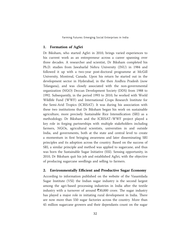#### **1. Formation of AgSri**

Dr Biksham, who started AgSri in 2010, brings varied experiences to his current work as an entrepreneur across a career spanning over three decades. A researcher and scientist, Dr Biksham completed his Ph.D. studies from Jawaharlal Nehru University (JNU) in 1984 and followed it up with a two-year post-doctoral programme at McGill University, Montreal, Canada. Upon his return he started out in the development sector in Hyderabad, in the then Andhra Pradesh (now Telangana), and was closely associated with the non-governmental organization (NGO) Deccan Development Society (DDS) from 1988 to 1992. Subsequently, in the period 1993 to 2010, he worked with World Wildlife Fund (WWF) and International Crops Research Institute for the Semi-Arid Tropics (ICRISAT). It was during his association with these two institutions that Dr Biksham began his work on sustainable agriculture, more precisely Sustainable Rice Intensification (SRI) as a methodology. Dr Biksham and the ICRISAT–WWF project played a key role in forging partnerships with multiple stakeholders including farmers, NGOs, agricultural scientists, universities in and outside India, and governments, both at the state and central level to create a momentum in first bringing awareness and later disseminating SRI principles and its adoption across the country. Based on the success of SRI, a similar principle and method was applied to sugarcane, and thus was born the Sustainable Sugar Initiative (SSI). Sensing opportunity, in 2010, Dr Biksham quit his job and established AgSri, with the objective of producing sugarcane seedlings and selling to farmers.

#### **2. Environmentally Efficient and Productive Sugar Economy**

According to information published on the website of the Vasantdada Sugar Institute (VSI) the Indian sugar industry is the second largest among the agri-based processing industries in India after the textile industry with a turnover of around  $\overline{\xi}30,000$  crore. The sugar industry has played a major role in initiating rural development in India. There are now more than 550 sugar factories across the country. More than 45 million sugarcane growers and their dependants count on the sugar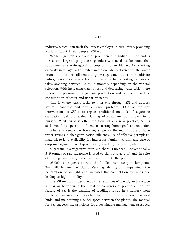industry, which is in itself the largest employer in rural areas, providing work for about 4 lakh people (VSI n.d.).

While sugar takes a place of prominence in Indian cuisine and is the second largest agri-processing industry, it needs to be noted that sugarcane is a water-guzzling crop and often blamed for creating disparity in villages with limited water availability. Even with the water crunch, the farmer still tends to grow sugarcane, rather than cultivate pulses, cereals, or vegetables. From sowing to harvesting, sugarcane takes anything between 12 to 18 months, depending on the varietal selection. With increasing water stress and decreasing water table, there is looming pressure on sugarcane production and farmers to reduce consumption of water and use it efficiently.

This is where AgSri seeks to intervene through SSI and address several economic and environmental problems. One of the key interventions of SSI is to replace traditional methods of sugarcane cultivation. SSI propagates planting of sugarcane bud grown in a nursery. While yield is often the focus of any new practice, SSI is acclaimed for a spectrum of benefits starting from significant reduction in volume of seed cane, breathing space for the main cropland, huge water savings, higher germination efficiency, use of effective germplasm material, to land availability for intercrops, family nutrition, and ease of crop management like drip irrigation, weeding, harvesting, etc.

Sugarcane is a vegetative crop and there is no seed. Conventionally, 3–5 tonnes of raw sugarcane is used to plant one acre of land. In spite of the high seed rate, the close planting limits the population of crops to 25,000 canes per acre with 8–10 tillers (shoots) per clump and 3–4 millable canes per clump. Very high density of clumps affects the penetration of sunlight and increases the competition for nutrients, leading to high mortality.

The SSI method is designed to use resources efficiently and produce similar or better yield than that of conventional practices. The key feature of SSI is the planting of seedlings raised in a nursery from single bud sugarcane chips rather than planting cane setts with several buds, and maintaining a wider space between the plants. The manual for SSI suggests six principles for a sustainable management prospect: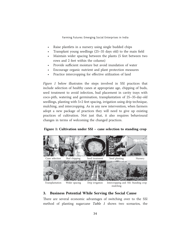- Raise plantlets in a nursery using single budded chips
- Transplant young seedlings (25–35 days old) to the main field
- Maintain wider spacing between the plants (5 feet between two rows and 2 feet within the column)
- Provide sufficient moisture but avoid inundation of water
- Encourage organic nutrient and plant protection measures
- Practice intercropping for effective utilization of land

*Figure 1* below illustrates the steps involved in SSI practices that include selection of healthy canes at appropriate age, chipping of buds, seed treatment to avoid infection, bud placement in cavity trays with coco-pith, watering and germination, transplantation of 25–35-day-old seedlings, planting with  $5\times2$  feet spacing, irrigation using drip technique, mulching, and intercropping. As in any new intervention, when farmers adopt a new package of practices they will need to give up existing practices of cultivation. Not just that, it also requires behavioural changes in terms of welcoming the changed practices.

#### **Figure 1: Cultivation under SSI – cane selection to standing crop**



#### **3. Business Potential While Serving the Social Cause**

There are several economic advantages of switching over to the SSI method of planting sugarcane *Table 1* shows two scenarios, the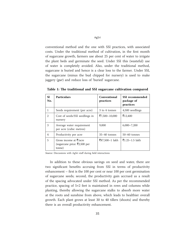conventional method and the one with SSI practices, with associated costs. Under the traditional method of cultivation, in the first month of sugarcane growth, farmers use about 25 per cent of water to irrigate the plant beds and germinate the seed. Under SSI this (wasteful) use of water is completely avoided. Also, under the traditional method, sugarcane is buried and hence is a clear loss to the farmer. Under SSI, the sugarcane (minus the bud chipped for nursery) is used to make jaggery (*gur*) and reduce loss of 'buried' sugarcane.

| S1<br>No.      | <b>Particulars</b>                                                                     | Conventional<br>practices | <b>SSI</b> recommended<br>package of<br>practices |
|----------------|----------------------------------------------------------------------------------------|---------------------------|---------------------------------------------------|
| 1              | Seeds requirement (per acre)                                                           | 3 to 4 tonnes             | 4,500 seedlings                                   |
| $\overline{2}$ | Cost of seeds/SSI seedlings in<br>nursery                                              | ₹7,500-10,000             | ₹12,400                                           |
| 3              | Average water requirement<br>per acre (cubic metres)                                   | 9,000                     | $6,000 - 7,200$                                   |
| 4              | Productivity per acre                                                                  | $35-40$ tonnes            | $50-60$ tonnes                                    |
| 5              | Gross income at $\overline{\xi}/\text{acre}$<br>(sugarcane price: ₹2,500 per<br>tonne) | ₹87,500-1 lakh            | $\bar{5}1.25 - 1.5$ lakh                          |

**Table 1: The traditional and SSI sugarcane cultivation compared**

*Source*: Discussions with AgSri staff during field interactions

In addition to these obvious savings on seed and water, there are two significant benefits accruing from SSI in terms of productivity enhancement – first is the 100 per cent or near 100 per cent germination of sugarcane seeds; second, the productivity gain accrued as a result of the spacing advocated under SSI method. As per the recommended practice, spacing of  $5\times2$  feet is maintained in rows and columns while planting, thereby allowing the sugarcane stalks to absorb more water at the roots and sunshine from above, which leads to healthier overall growth. Each plant grows at least 30 to 40 tillers (shoots) and thereby there is an overall productivity enhancement.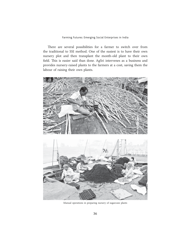There are several possibilities for a farmer to switch over from the traditional to SSI method. One of the easiest is to have their own nursery plot and then transplant the month-old plant to their own field. This is easier said than done. AgSri intervenes as a business and provides nursery-raised plants to the farmers at a cost, saving them the labour of raising their own plants.



Manual operations in preparing nursery of sugarcane plants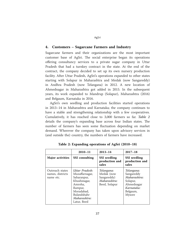## AgSri

#### **4. Customers – Sugarcane Farmers and Industry**

Sugarcane farmers and their organizations are the most important customer base of AgSri. The social enterprise began its operations offering consultancy services to a private sugar company in Uttar Pradesh that had a turnkey contract in the state. At the end of the contract, the company decided to set up its own nursery production facility. After Uttar Pradesh, AgSri's operations expanded to other states starting with Solapur in Maharashtra and Medak (now Sangareddy) in Andhra Pradesh (now Telangana) in 2012. A new location of Ahmednagar in Maharashtra got added in 2015. In the subsequent years, its work expanded to Mandrup (Solapur), Maharashtra (2016) and Belgaum, Karnataka in 2016.

AgSri's own seedling and production facilities started operations in 2013–14 in Maharashtra and Karnataka; the company continues to have a stable and strengthening relationship with a few cooperatives. Cumulatively, it has reached close to 3,000 farmers so far. *Table 2* details the company's expanding base across four Indian states. The number of farmers has seen some fluctuation depending on market demand. Wherever the company has taken upon advisory services in (and outside the) country, the numbers of farmers have increased.

|                                                  | $2010 - 11$                                                                                                                                       | $2013 - 14$                                                              | $2017 - 18$                                                                                            |
|--------------------------------------------------|---------------------------------------------------------------------------------------------------------------------------------------------------|--------------------------------------------------------------------------|--------------------------------------------------------------------------------------------------------|
| <b>Major activities</b>                          | <b>SSI</b> consulting                                                                                                                             | <b>SSI</b> seedling<br>production and<br>sales                           | <b>SSI</b> seedling<br>production and<br>sales                                                         |
| Outreach states<br>names, districts<br>name etc. | Uttar Pradesh:<br>Muzaffarnagar,<br>Saharanpur,<br>Khushinagar,<br>Amroha.<br>Rampur,<br>Moradabad,<br>Bulandshahr<br>Maharashtra:<br>Latur, Beed | Telangana:<br>Medak (now<br>Sangareddy)<br>Maharashtra:<br>Beed, Solapur | Telangana:<br>Sangareddy<br>Maharashtra:<br>Solapur,<br>Ahmednagar<br>Karnataka:<br>Belgaum,<br>Mysore |

**Table 2: Expanding operations of AgSri (2010–18)**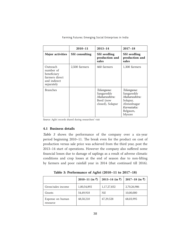|                                                                                      | $2010 - 11$           | $2013 - 14$                                                               | $2017 - 18$                                                                                            |
|--------------------------------------------------------------------------------------|-----------------------|---------------------------------------------------------------------------|--------------------------------------------------------------------------------------------------------|
| <b>Major activities</b>                                                              | <b>SSI</b> consulting | SSI seedling<br>production and<br>sales                                   | SSI seedling<br>production and<br>sales                                                                |
| Outreach<br>number of<br>beneficiary<br>farmers direct<br>and indirect<br>separately | 2,500 farmers         | 460 farmers                                                               | 1,300 farmers                                                                                          |
| <b>Branches</b>                                                                      |                       | Telangana:<br>Sangareddy<br>Maharashtra:<br>Beed (now<br>closed), Solapur | Telangana:<br>Sangareddy<br>Maharashtra:<br>Solapur,<br>Ahmednagar<br>Karnataka:<br>Belgaum,<br>Mysore |

Farming Futures: Emerging Social Enterprises in India

*Source*: AgSri records shared during researchers' visit

#### **4.1 Business details**

*Table 3* shows the performance of the company over a six-year period beginning 2010–11. The break even for the product on cost of production versus sale price was achieved from the third year, post the 2013–14 start of operations. However the company also suffered some financial losses due to damage of saplings as a result of adverse climatic conditions and crop losses at the end of season due to non-lifting by farmers and poor rainfall year in 2014 (that continued till 2016).

**Table 3: Performance of AgSri (2010–11 to 2017–18)**

|                              | $2010-11$ (in ₹) | 2013–14 (in $\bar{z}$ ) | $2017 - 18$ (in $\overline{z}$ ) |
|------------------------------|------------------|-------------------------|----------------------------------|
| Gross/sales income           | 1,00,54,892      | 1,17,27,832             | 2,70,26,986                      |
| Grants                       | 54,49,918        | Nil                     | 10,00,000                        |
| Expense on human<br>resource | 48,50,210        | 47,29,528               | 68,03,995                        |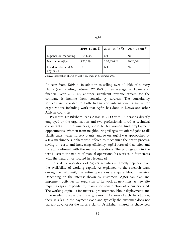|                                        | $2010-11$ (in ₹) | 2013–14 (in ₹) | $2017-18$ (in ₹) |
|----------------------------------------|------------------|----------------|------------------|
| Expense on marketing                   | 16,54,500        | Nil            | Nil              |
| Net income/(loss)                      | 9,72,299         | 1,33,43,642    | 40,24,204        |
| Dividend declared (if<br>any in $\%$ ) | Nil              | Nil            | Nil              |

*Source*: Information shared by AgSri on email in September 2018

As seen from *Table 3*, in addition to selling over 40 lakh of nursery plants (each costing between  $\bar{\mathfrak{Z}}2.50-3$  on an average) to farmers in financial year 2017–18, another significant revenue stream for the company is income from consultancy services. The consultancy services are provided to both Indian and international sugar sector organizations including work that AgSri has done in Kenya and other African countries.

Presently, Dr Biksham leads AgSri as CEO with 16 persons directly employed by the organization and two professionals hired as technical consultants. In the nurseries, close to 60 women find employment opportunities. Women from neighbouring villages are offered jobs to fill plastic trays, water nursery plants, and so on. AgSri was approached by a few machinery suppliers who offered to mechanize the entire process, saving on costs and increasing efficiency. AgSri refused that offer and instead continued with the manual operations. The photographs in the text illustrate the nature of manual operations. Its work is in four states with the head office located in Hyderabad.

The scale of operations of AgSri's activities is directly dependent on the availability of working capital. As explained to the research team during the field visit, the entire operations are quite labour intensive. Depending on the interest shown by customers, AgSri can plan and implement activities for expansion of its work at new sites. A new site requires capital expenditure, mainly for construction of a nursery shed. The working capital is for material procurement, labour deployment, and time needed to raise the nursery, a month for every batch. In addition, there is a lag in the payment cycle and typically the customer does not pay any advance for the nursery plants. Dr Biksham shared his challenges:

AgSri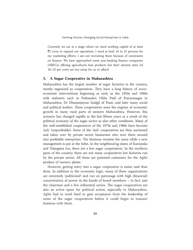Currently we are at a stage where we need working capital of at least  $\overline{5}5$  crore to expand our operations. I need at least 10 to 15 persons for my marketing efforts. I am not recruiting them because of constraints on finance. We have approached some non-banking finance companies (NBFCs) offering agricultural loan products but their interest rates (of 18–22 per cent) are too steep for us to afford.

#### **5. A Sugar Cooperative in Maharashtra**

Maharashtra has the largest number of sugar factories in the country, mostly organized as cooperatives. They have a long history of socioeconomic interventions beginning as early as the 1950s and 1960s with stalwarts such as Padmashri Vikhe Patil of Pravaranagar in Maharashtra, Dr Dhananjayrao Gadgil of Pune, and later many social and political leaders. These cooperatives were the engines of economic growth in many rural parts of western Maharashtra. However, this scenario has changed rapidly in the last fifteen years as a result of the political economy of the sugar sector as also other conditions. Many of the well-established cooperatives of the 1970s and 1980s have become 'sick' (unprofitable). Some of the 'sick' cooperatives are then auctioned and taken over by private sector businesses who turn them around into profitable enterprises. The business remains the same while a new management is put at the helm. In the neighbouring states of Karnataka and Telangana too, there are a few sugar cooperatives. In the northern parts of the country, there are not many cooperatives but factories run by the private sector. All these are potential customers for the AgSri product of nursery plants.

However, getting entry into a sugar cooperative is easier said than done. In addition to the economic logic, many of these organizations are extremely 'politicized' and run on patronage with high (financial) concentration of power in the hands of board members – in fact, just the chairman and a few influential actors. The sugar cooperatives are also an active space for political action, especially in Maharashtra. AgSri had to work hard to gain acceptance from the leadership of some of the sugar cooperatives before it could begin to transact business with them.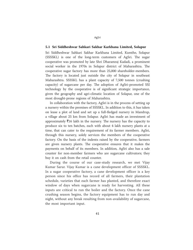#### **5.1 Sri Siddheshwar Sahkari Sakhar Karkhana Limited, Solapur**

Sri Siddheshwar Sahkari Sakhar Karkhana Limited, Kumthe, Solapur (SSSSKL) is one of the long-term customers of AgSri. The sugar cooperative was promoted by late Shri Dharamraj Kadadi, a prominent social worker in the 1970s in Solapur district of Maharashtra. The cooperative sugar factory has more than 25,000 shareholder-members. The factory is located just outside the city of Solapur in southeast Maharashtra. SSSSKL has a plant capacity of 7,500 tonnes (crushing capacity) of sugarcane per day. The adoption of AgSri-promoted SSI technology by the cooperative is of significant strategic importance, given the geography and agri-climatic location of Solapur, one of the most drought-prone regions of Maharashtra.

In collaboration with the factory, AgSri is in the process of setting up a nursery within the premises of SSSSKL. In addition to this, it has taken on lease a plot of land and set up a full-fledged nursery in Mandrup, a village about 25 km from Solapur. AgSri has made an investment of approximately  $\bar{z}$ 16 lakh in the nursery. The nursery has the capacity to produce six to ten batches, each with about 4 lakh nursery plants at a time, that can cater to the requirement of its farmer members. AgSri, through this nursery, solely services the members of the cooperative factory. On the basis of the indents raised by the cooperative, farmers are given nursery plants. The cooperative ensures that it makes the payments on behalf of its members. In addition, AgSri also has a sale counter for non-member farmers who are sugarcane cultivators; they buy it on cash from the retail counter.

During the course of our case-study research, we met Vijay Kumar Sarur. Vijay Kumar is a cane development officer of SSSSKL. In a sugar cooperative factory, a cane development officer is a key person since his office has record of all farmers, their plantation schedule, varieties that each farmer has planted, and therefore exact window of days when sugarcane is ready for harvesting. All these inputs are critical to run the boiler and the factory. Once the cane crushing season begins, the factory equipment has to run day and night, without any break resulting from non-availability of sugarcane, the most important input.

AgSri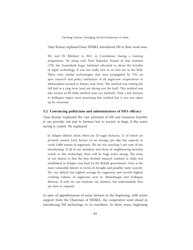Vijay Kumar explained how SSSSKL introduced SSI in their work area:

We met Dr Biksham in 2011 in Coimbatore during a training programme. He along with Prof. Rajendra Prasad of that institute (VSI, the Vasantdada Sugar Institute) educated us about the benefits of AgSri technology. It was not really new to us who are in the field. There were similar technologies that were propagated by VSI, an apex research and policy institution of all sugarcane cooperatives in Maharashtra located at Manjri near Pune. The method was cutting the full bud in a ring form (and not slicing just the bud). This method was also known as *Ek Dola* method (one eye method). Only a few farmers in Kolhapur region were practising this method but it was not taken up by everyone.

#### **5.2 Convincing politicians and administrators of SSI's efficacy**

Vijay Kumar explained the vast potential of SSI and immense benefits it can provide, not just to farmers but to society at large, if the water saving is costed. He explained:

In Solapur district alone, there are 33 sugar factories, 11 of which are privately owned. Each factory on an average, per day, has capacity to crush 5,000 tonnes of sugarcane. We are not touching 5 per cent of our membership. If all of our members and those of neighbouring factories switch to this technology, there will be huge water saving. The irony of our district is that the first dryland research institute in India was established in Solapur way back by the British government. Ours is the most vulnerable district in terms of drought and possible water scarcity. Yet, our district has highest acreage for sugarcane and records highest crushing volume of sugarcane next to Ahmednagar and Kolhapur districts. If only we can motivate our farmers, but unfortunately they are slow to respond.

In spite of apprehensions of some farmers in the beginning, with active support from the Chairman of SSSSKL, the cooperative went ahead in introducing SSI technology to its members. In three years, beginning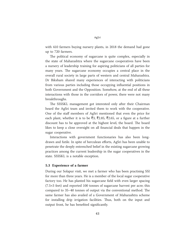with 410 farmers buying nursery plants, in 2018 the demand had gone up to 720 farmers.

The political economy of sugarcane is quite complex, especially in the state of Maharashtra where the sugarcane cooperatives have been a nursery of leadership training for aspiring politicians of all parties for many years. The sugarcane economy occupies a central place in the overall rural society in large parts of western and central Maharashtra. Dr Biksham shared many experiences of interacting with politicians from various parties including those occupying influential positions in both Government and the Opposition. Somehow, at the end of all these interactions with those in the corridors of power, there were not many breakthroughs.

The SSSSKL management got interested only after their Chairman heard the AgSri team and invited them to work with the cooperative. One of the staff members of AgSri mentioned that even the price for each plant, whether it is to be  $\bar{z}3$ ,  $\bar{z}2.85$ ,  $\bar{z}2.65$ , or a figure at a further discount has to be approved at the highest level, the board. The board likes to keep a close oversight on all financial deals that happen in the sugar cooperative.

Interactions with government functionaries has also been longdrawn and futile. In spite of herculean efforts, AgSri has been unable to penetrate the deeply entrenched belief in the existing sugarcane growing practices among the current leadership in the sugar cooperatives in the state. SSSSKL is a notable exception.

#### **5.3 Experience of a farmer**

During our Solapur visit, we met a farmer who has been practising SSI for more than three years. He is a member of the local sugar cooperative factory too. He has planted his sugarcane field with even larger spacing  $(7.5\times3$  feet) and reported 100 tonnes of sugarcane harvest per acre; this compared to 35–40 tonnes of output via the conventional method. The same farmer has also availed of a Government of Maharashtra scheme for installing drip irrigation facilities. Thus, both on the input and output front, he has benefited significantly.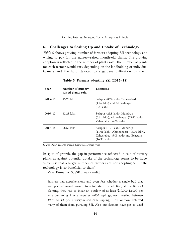#### **6. Challenges to Scaling Up and Uptake of Technology**

*Table 5* shows growing number of farmers adopting SSI technology and willing to pay for the nursery-raised month-old plants. The growing adoption is reflected in the number of plants sold. The number of plants for each farmer would vary depending on the landholding of individual farmers and the land devoted to sugarcane cultivation by them.

| Year        | Number of nursery-<br>raised plants sold | <b>Locations</b>                                                                                                                         |
|-------------|------------------------------------------|------------------------------------------------------------------------------------------------------------------------------------------|
| $2015 - 16$ | 13.70 lakh                               | Solapur (8.74 lakh), Zaheerabad<br>(1.16 lakh) and Ahmednagar<br>$(3.8 \, \text{lakh})$                                                  |
| $2016 - 17$ | 62.28 lakh                               | Solapur (25.8 lakh), Mandrup<br>(6.61 lakh), Ahmednagar (23.42 lakh),<br>Zaheerabad (6.06 lakh)                                          |
| $2017 - 18$ | 58.67 lakh                               | Solapur (13.3 lakh), Mandrup<br>(11.01 lakh), Ahmednagar (13.00 lakh),<br>Zaheerabad (5.03 lakh) and Belgaum<br>$(16.30 \; \text{lakh})$ |

**Table 5: Farmers adopting SSI (2015–18)**

*Source*: AgSri records shared during researchers' visit

In spite of growth, the gap in performance reflected in sale of nursery plants as against potential uptake of the technology seems to be huge. Why is it that a larger number of farmers are not adopting SSI, if the technology is so beneficial to them?

Vijay Kumar of SSSSKL was candid:

Farmers had apprehensions and even fear whether a single bud that was planted would grow into a full stem. In addition, at the time of planting, they had to incur an outflow of at least  $\bar{\tau}10,000$ -12,000 per acre (assuming 1 acre requires 4,000 saplings, each costing between  $\overline{5}2.75$  to  $\overline{5}3$  per nursery-raised cane sapling). This outflow deterred many of them from pursuing SSI. Also our farmers have got so used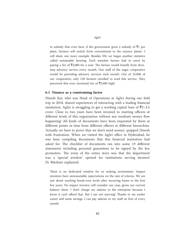to subsidy that even here, if the government gives a subsidy of  $\bar{z}1$  per plant, farmers will switch from conventional to the nursery plants. I will share one more example. Besides SSI, we began another initiative called sustainable farming. Each member farmer had to enrol by paying a fee of  $\bar{\mathfrak{Z}}2,000$  for a year. The farmer would benefit from doorstep advisory service every month. Our staff of the sugar cooperative would be providing advisory services each month. Out of 25,000 of our cooperative, only 128 farmers enrolled to avail this service. They perceived this even (nominal) fee of  $\bar{\mathfrak{Z}}2,000$  high!

#### **6.1 Finance as a constraining factor**

Dinesh Kar, who was Head of Operations at AgSri during our field trip in 2018, shared experiences of interacting with a leading financial institution. AgSri is struggling to get a working capital loan of  $\bar{\mathfrak{z}}$ 3–3.5 crore. Close to two years have been invested in meeting officers at different levels of this organization without any resultant money flow happening! All kinds of documents have been requested by them at different points in time from different officers at different hierarchies. 'Actually we have to prove that we don't need money', quipped Dinesh with frustration. When we visited the AgSri office in Hyderabad, he was busy compiling documents that this financial institution had asked for. The checklist of documents ran into some 19 different statements including personal guarantees to be signed by the key promoters. The irony of the entire story was that the department was a 'special window' opened for institutions serving farmers! Dr Biksham explained:

There is no dedicated window for us seeking investments. Impact investors have unreasonable expectations on the rate of returns. We are just about reaching break-even levels after incurring losses in the first few years. No impact investor will consider our case, given our current balance sheet. I don't charge my salaries to the enterprise because I know it can't afford that. But I am not starving! Thanks to my earlier career and some savings, I can pay salaries to my staff on first of every month.

AgSri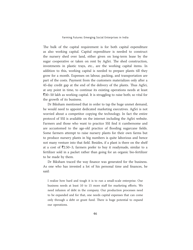The bulk of the capital requirement is for both capital expenditure as also working capital. Capital expenditure is needed to construct the nursery shed over land, either given on long-term lease by the sugar cooperative or taken on rent by AgSri. The shed construction, investments in plastic trays, etc., are the working capital items. In addition to this, working capital is needed to prepare plants till they grow for a month. Expenses on labour, packing, and transportation are part of the costs. Payment from the customers materializes only after a 45-day credit gap at the end of the delivery of the plants. Thus AgSri, at any point in time, to continue its existing operations needs at least  $\bar{z}$ 30–50 lakh as working capital. It is struggling to raise both; so vital for the growth of its business.

Dr Biksham mentioned that in order to tap the huge unmet demand, he would need to appoint dedicated marketing executives. AgSri is not worried about a competitor copying the technology. In fact the entire protocol of SSI is available on the internet including the AgSri website. Farmers and those who want to practice SSI find it cumbersome and are accustomed to the age-old practice of flooding sugarcane fields. Some farmers attempt to raise nursery plants for their own farms but to produce nursery plants in big numbers is quite laborious and hence not many venture into that field. Besides, if a plant is there on the shelf at a cost of  $\bar{\mathcal{F}}2.50-3$ , farmers prefer to buy it readymade, similar to a fertilizer sold in a packet rather than going for an organic bio-fertilizer to be made by them.

Dr Biksham traced the way finance was generated for the business. As one who has invested a lot of his personal time and finances, he said:

I realize how hard and tough it is to run a small-scale enterprise. Our business needs at least 10 to 15 more staff for marketing efforts. We need infusion of debt in the company. Our production processes need to be expanded and for that, one needs capital expenses that can come only through a debt or grant fund. There is huge potential to expand our operations.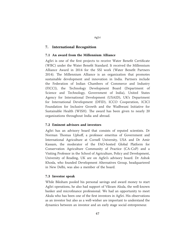#### **7. International Recognition**

#### **7.1 An award from the Millennium Alliance**

AgSri is one of the first projects to receive Water Benefit Certificate (WBC) under the Water Benefit Standard. It received the Millennium Alliance Award in 2014 for the SSI work (Water Benefit Partners 2014). The Millennium Alliance is an organization that promotes sustainable development and innovation in India. Partners include the Federation of Indian Chambers of Commerce and Industry (FICCI), the Technology Development Board (Department of Science and Technology, Government of India), United States Agency for International Development (USAID), UK's Department for International Development (DFID), ICCO Cooperation, ICICI Foundation for Inclusive Growth and the Wadhwani Initiative for Sustainable Health (WISH). The award has been given to nearly 20 organizations throughout India and abroad.

#### **7.2 Eminent advisors and investors**

AgSri has an advisory board that consists of reputed scientists. Dr Norman Thomas Uphoff, a professor emeritus of Government and International Agriculture at Cornell University, USA and Dr Amir Kassam, the moderator of the FAO-hosted Global Platform for Conservation Agriculture Community of Practice (CA-CoP) and a Visiting Professor in the School of Agriculture, Policy and Development, University of Reading, UK are on AgSri's advisory board. Dr Ashok Khosla, who founded Development Alternatives Group, headquartered in New Delhi, was also a member of the board.

#### **7.3 Investor speak**

While Biksham pooled his personal savings and award money to start AgSri operations, he also had support of Vikram Akula, the well-known banker and microfinance professional. We had an opportunity to meet Akula who has been one of the first investors in AgSri. His observations as an investor but also as a well-wisher are important to understand the dynamics between an investor and an early stage social entrepreneur.

AgSri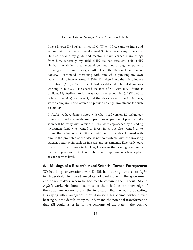I have known Dr Biksham since 1990. When I first came to India and worked with the Deccan Development Society, he was my supervisor. He also became my guide and mentor. I have learned many things from him, especially my 'field skills'. He has excellent 'field skills'. He has the ability to understand communities through empathetic listening and through dialogue. After I left the Deccan Development Society, I continued interacting with him while pursuing my own work in microfinance. Around 2010–11, when I left the microfinance institution (MFI)–NBFC that I had established, Dr Biksham was working in ICRISAT. He shared the idea of SSI with me. I found it brilliant. My feedback to him was that if the economics (of SSI and its potential benefits) are correct, and the idea creates value for farmers, start a company. I also offered to provide an angel investment for such a start-up.

In AgSri, we have demonstrated with what I call version 1.0 technology in terms of protocol, field-based operations or package of practices. We soon will be ready with version 2.0. We were approached by a leading investment fund who wanted to invest in us but also wanted us to patent the technology. Dr Biksham said 'no' to this idea. I agreed with him. If the promoter of the idea is not comfortable with the investing partner, better avoid such an investor and investments. Essentially, ours is a sort of open source technology, known to the farming community for many years with lot of innovations and improvisations taking place at each farmer level.

#### **8. Musings of a Researcher and Scientist Turned Entrepreneur**

We had long conversations with Dr Biksham during our visit to AgSri in Hyderabad. He shared anecdotes of working with the government and policy makers, whom he had met to convince them about SSI and AgSri's work. He found that most of them had scanty knowledge of the sugarcane economy and the innovation that he was propagating. Displaying utter arrogance they dismissed his claims without even hearing out the details or try to understand the potential transformation that SSI could usher in for the economy of the state – the positive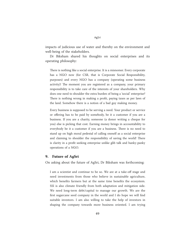impacts of judicious use of water and thereby on the environment and well-being of the stakeholders.

Dr Biksham shared his thoughts on social enterprises and its operating philosophy:

There is nothing like a social enterprise. It is a misnomer. Every corporate has a NGO now (for CSR, that is Corporate Social Responsibility, purposes) and every NGO has a company (operating some business activity)! The moment you are registered as a company, your primary responsibility is to take care of the interests of your shareholders. Why does one need to shoulder the extra burden of being a 'social' enterprise? There is nothing wrong in making a profit, paying taxes as per laws of the land. Somehow there is a notion of a bad guy making money.

Every business is supposed to be serving a need. Your product or service or offering has to be paid by somebody, be it a customer if you are a business. If you are a charity, someone (a donor writing a cheque for you) else is picking that cost. Earning money brings in accountability to everybody be it a customer if you are a business. There is no need to stand up on high moral pedestal of calling oneself as a social enterprise and claiming to shoulder the responsibility of saving the world! There is clarity in a profit seeking enterprise unlike glib talk and hanky-panky operations of a NGO.

#### **9. Future of AgSri**

On asking about the future of AgSri, Dr Biksham was forthcoming:

I am a scientist and continue to be so. We are at a take-off stage and need investments from those who believe in sustainable agriculture, which benefits farmers but at the same time benefits the ecosystem. SSI is also climate friendly from both adaptation and mitigation side. We need long-term debt/capital to manage our growth. We are the first sugarcane seed company in the world and I do hope we will find suitable investors. I am also willing to take the help of investors in shaping the company towards more business oriented. I am trying